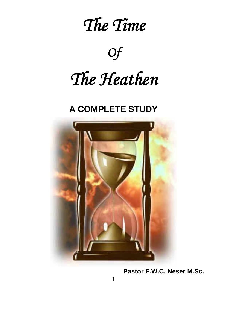

*Of*

# *The Heathen*

# **A COMPLETE STUDY**



**Pastor F.W.C. Neser M.Sc.**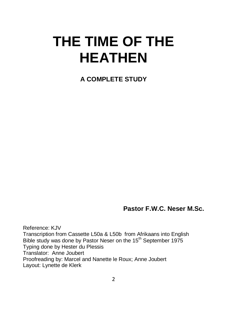# **THE TIME OF THE HEATHEN**

**A COMPLETE STUDY**

**Pastor F.W.C. Neser M.Sc.**

Reference: KJV Transcription from Cassette L50a & L50b from Afrikaans into English Bible study was done by Pastor Neser on the 15<sup>th</sup> September 1975 Typing done by Hester du Plessis Translator: Anne Joubert Proofreading by: Marcel and Nanette le Roux; Anne Joubert Layout: Lynette de Klerk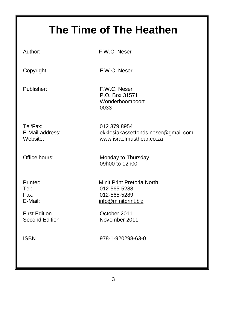# **The Time of The Heathen**

Author: F.W.C. Neser

Copyright: F.W.C. Neser

Publisher: F.W.C. Neser P.O. Box 31571 Wonderboompoort 0033

Tel/Fax: 012 379 8954

E-Mail address: [ekklesiak](mailto:ekklesia@telkomsa.net)assetfonds.neser@gmail.com Website: [www.israelmusthear.co.za](http://www.israelmusthear.co.za/)

Office hours: Monday to Thursday 09h00 to 12h00

First Edition October 2011

Printer: Minit Print Pretoria North Tel: 012-565-5288 Fax: 012-565-5289 E-Mail: [info@minitprint.biz](mailto:info@minitprint.biz)

Second Edition November 2011

ISBN 978-1-920298-63-0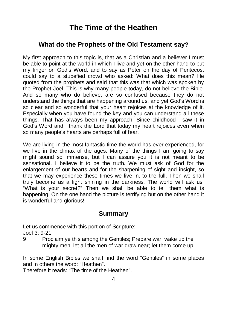# **The Time of the Heathen**

#### **What do the Prophets of the Old Testament say?**

My first approach to this topic is, that as a Christian and a believer I must be able to point at the world in which I live and yet on the other hand to put my finger on God's Word, and to say as Peter on the day of Pentecost could say to a stupefied crowd who asked: What does this mean? He quoted from the prophets and said that this was that which was spoken by the Prophet Joel. This is why many people today, do not believe the Bible. And so many who do believe, are so confused because they do not understand the things that are happening around us, and yet God's Word is so clear and so wonderful that your heart rejoices at the knowledge of it. Especially when you have found the key and you can understand all these things. That has always been my approach. Since childhood I saw it in God's Word and I thank the Lord that today my heart rejoices even when so many people's hearts are perhaps full of fear.

We are living in the most fantastic time the world has ever experienced, for we live in the climax of the ages. Many of the things I am going to say might sound so immense, but I can assure you it is not meant to be sensational. I believe it to be the truth. We must ask of God for the enlargement of our hearts and for the sharpening of sight and insight, so that we may experience these times we live in, to the full. Then we shall truly become as a light shining in the darkness. The world will ask us: "What is your secret?" Then we shall be able to tell them what is happening. On the one hand the picture is terrifying but on the other hand it is wonderful and glorious!

#### **Summary**

Let us commence with this portion of Scripture:

Joel 3: 9-21

9 Proclaim ye this among the Gentiles; Prepare war, wake up the mighty men, let all the men of war draw near; let them come up:

In some English Bibles we shall find the word "Gentiles" in some places and in others the word: "Heathen".

Therefore it reads: "The time of the Heathen".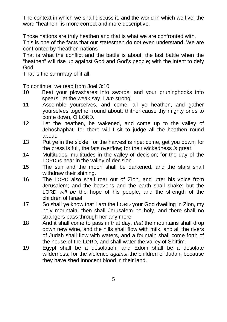The context in which we shall discuss it, and the world in which we live, the word "heathen" is more correct and more descriptive.

Those nations are truly heathen and that is what we are confronted with.

This is one of the facts that our statesmen do not even understand. We are confronted by "heathen nations"

That is what the conflict and the battle is about, the last battle when the "heathen" will rise up against God and God's people; with the intent to defy God.

That is the summary of it all.

To continue, we read from Joel 3:10

- 10 Beat your plowshares into swords, and your pruninghooks into spears: let the weak say, I *am* strong.
- 11 Assemble yourselves, and come, all ye heathen, and gather yourselves together round about: thither cause thy mighty ones to come down, O LORD.
- 12 Let the heathen, be wakened, and come up to the valley of Jehoshaphat: for there will I sit to judge all the heathen round about.
- 13 Put ye in the sickle, for the harvest is ripe: come, get you down; for the press is full, the fats overflow; for their wickedness *is* great.
- 14 Multitudes, multitudes in the valley of decision; for the day of the LORD *is* near in the valley of decision.
- 15 The sun and the moon shall be darkened, and the stars shall withdraw their shining.
- 16 The LORD also shall roar out of Zion, and utter his voice from Jerusalem; and the heavens and the earth shall shake: but the LORD *will be* the hope of his people, and the strength of the children of Israel.
- 17 So shall ye know that I *am* the LORD your God dwelling in Zion, my holy mountain: then shall Jerusalem be holy, and there shall no strangers pass through her any more.
- 18 And it shall come to pass in that day, *that* the mountains shall drop down new wine, and the hills shall flow with milk, and all the rivers of Judah shall flow with waters, and a fountain shall come forth of the house of the LORD, and shall water the valley of Shittim.
- 19 Egypt shall be a desolation, and Edom shall be a desolate wilderness, for the violence *against* the children of Judah, because they have shed innocent blood in their land.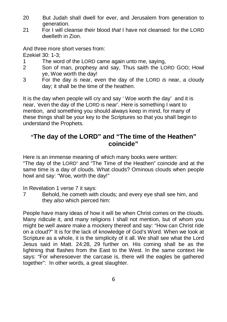- 20 But Judah shall dwell for ever, and Jerusalem from generation to generation.
- 21 For I will cleanse their blood *that* I have not cleansed: for the LORD dwelleth in Zion.

And three more short verses from:

Ezekiel 30: 1-3;

- 1 The word of the LORD came again unto me, saying,
- 2 Son of man, prophesy and say, Thus saith the LORD GOD; Howl ye, Woe worth the day!
- 3 For the day *is* near, even the day of the LORD *is* near, a cloudy day; it shall be the time of the heathen.

It is the day when people will cry and say ' Woe worth the day' and it is near, 'even the day of the LORD is near'. Here is something I want to mention, and something you should always keep in mind, for many of these things shall be your key to the Scriptures so that you shall begin to understand the Prophets.

#### **"The day of the LORD" and "The time of the Heathen" coincide"**

Here is an immense meaning of which many books were written:

"The day of the LORD" and "The Time of the Heathen" coincide and at the same time is a day of clouds. What clouds? Ominous clouds when people howl and say: "Woe, worth the day!"

In Revelation 1 verse 7 it says:

7 Behold, he cometh with clouds; and every eye shall see him, and they *also* which pierced him:

People have many ideas of how it will be when Christ comes on the clouds. Many ridicule it, and many religions I shall not mention, but of whom you might be well aware make a mockery thereof and say: "How can Christ ride on a cloud?" It is for the lack of knowledge of God's Word. When we look at Scripture as a whole, it is the simplicity of it all. We shall see what the Lord Jesus said in Matt. 24:28, 29 further on. His coming shall be as the lightning that flashes from the East to the West. In the same context He says: "For wheresoever the carcase is, there will the eagles be gathered together": In other words, a great slaughter.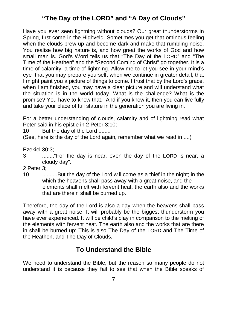## **"The Day of the LORD" and "A Day of Clouds"**

Have you ever seen lightning without clouds? Our great thunderstorms in Spring, first come in the Highveld. Sometimes you get that ominous feeling when the clouds brew up and become dark and make that rumbling noise. You realise how big nature is, and how great the works of God and how small man is. God's Word tells us that "The Day of the LORD" and "The Time of the Heathen" and the "Second Coming of Christ" go together. It is a time of calamity, a time of lightning. Allow me to let you see in your mind's eye that you may prepare yourself, when we continue in greater detail, that I might paint you a picture of things to come. I trust that by the Lord's grace, when I am finished, you may have a clear picture and will understand what the situation is in the world today. What is the challenge? What is the promise? You have to know that. And if you know it, then you can live fully and take your place of full stature in the generation you are living in.

For a better understanding of clouds, calamity and of lightning read what Peter said in his epistle in 2 Peter 3:10;

10 But the day of the Lord ........

(See, here is the day of the Lord again, remember what we read in ....)

Ezekiel 30:3;

- 3 ........"For the day is near, even the day of the LORD is near, a cloudy day".
- 2 Peter 3;
- 10 ..........But the day of the Lord will come as a thief in the night; in the which the heavens shall pass away with a great noise, and the elements shall melt with fervent heat, the earth also and the works that are therein shall be burned up.

Therefore, the day of the Lord is also a day when the heavens shall pass away with a great noise. It will probably be the biggest thunderstorm you have ever experienced. It will be child's play in comparison to the melting of the elements with fervent heat. The earth also and the works that are there in shall be burned up: This is also The Day of the LORD and The Time of the Heathen, and The Day of Clouds.

#### **To Understand the Bible**

We need to understand the Bible, but the reason so many people do not understand it is because they fail to see that when the Bible speaks of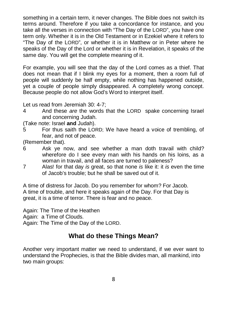something in a certain term, it never changes. The Bible does not switch its terms around. Therefore if you take a concordance for instance, and you take all the verses in connection with "The Day of the LORD", you have one term only. Whether it is in the Old Testament or in Ezekiel where it refers to "The Day of the LORD", or whether it is in Matthew or in Peter where he speaks of the Day of the Lord or whether it is in Revelation, it speaks of the same day. You will get the complete meaning of it.

For example, you will see that the day of the Lord comes as a thief. That does not mean that if I blink my eyes for a moment, then a room full of people will suddenly be half empty, while nothing has happened outside, yet a couple of people simply disappeared. A completely wrong concept. Because people do not allow God's Word to interpret itself.

Let us read from Jeremiah 30: 4-7;

- 4 And these *are* the words that the LORD spake concerning Israel and concerning Judah.
- (Take note: Israel **and** Judah).
- 5 For thus saith the LORD; We have heard a voice of trembling, of fear, and not of peace.

(Remember that).

- 6 Ask ye now, and see whether a man doth travail with child? wherefore do I see every man with his hands on his loins, as a woman in travail, and all faces are turned to paleness?
- 7 Alas! for that day *is* great, so that none *is* like it: it *is* even the time of Jacob's trouble; but he shall be saved out of it.

A time of distress for Jacob. Do you remember for whom? For Jacob. A time of trouble, and here it speaks again of the Day. For that Day is great, it is a time of terror. There is fear and no peace.

Again: The Time of the Heathen Again: a Time of Clouds. Again: The Time of the Day of the LORD.

#### **What do these Things Mean?**

Another very important matter we need to understand, if we ever want to understand the Prophecies, is that the Bible divides man, all mankind, into two main groups: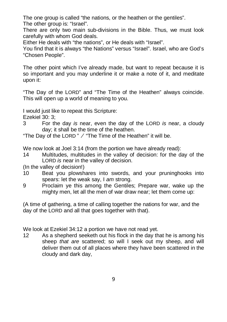The one group is called "the nations, or the heathen or the gentiles". The other group is: "Israel".

There are only two main sub-divisions in the Bible. Thus, we must look carefully with whom God deals.

Either He deals with "the nations", or He deals with "Israel".

You find that it is always "the Nations" versus "Israel". Israel, who are God's "Chosen People".

The other point which I've already made, but want to repeat because it is so important and you may underline it or make a note of it, and meditate upon it:

"The Day of the LORD" and "The Time of the Heathen" always coincide. This will open up a world of meaning to you.

I would just like to repeat this Scripture:

Ezekiel 30: 3;

3 For the day *is* near, even the day of the LORD *is* near, a cloudy day; it shall be the time of the heathen.

"The Day of the LORD"  $\angle$  "The Time of the Heathen" it will be.

We now look at Joel 3:14 (from the portion we have already read):

- 14 Multitudes, multitudes in the valley of decision: for the day of the LORD *is* near in the valley of decision.
- (In the valley of decision!)
- 10 Beat you plowshares into swords, and your pruninghooks into spears: let the weak say, I *am* strong.
- 9 Proclaim ye this among the Gentiles; Prepare war, wake up the mighty men, let all the men of war draw near; let them come up:

(A time of gathering, a time of calling together the nations for war, and the day of the LORD and all that goes together with that).

We look at Ezekiel 34:12 a portion we have not read yet.

12 As a shepherd seeketh out his flock in the day that he is among his sheep *that are* scattered; so will I seek out my sheep, and will deliver them out of all places where they have been scattered in the cloudy and dark day,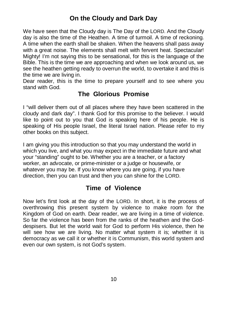## **On the Cloudy and Dark Day**

We have seen that the Cloudy day is The Day of the LORD. And the Cloudy day is also the time of the Heathen. A time of turmoil. A time of reckoning. A time when the earth shall be shaken. When the heavens shall pass away with a great noise. The elements shall melt with fervent heat. Spectacular! Mighty! I'm not saying this to be sensational, for this is the language of the Bible. This is the time we are approaching and when we look around us, we see the heathen getting ready to overrun the world, to overtake it and this is the time we are living in.

Dear reader, this is the time to prepare yourself and to see where you stand with God.

#### **The Glorious Promise**

I "will deliver them out of all places where they have been scattered in the cloudy and dark day". I thank God for this promise to the believer. I would like to point out to you that God is speaking here of his people. He is speaking of His people Israel, the literal Israel nation. Please refer to my other books on this subject.

I am giving you this introduction so that you may understand the world in which you live, and what you may expect in the immediate future and what your "standing" ought to be. Whether you are a teacher, or a factory worker, an advocate, or prime-minister or a judge or housewife, or whatever you may be. If you know where you are going, if you have direction, then you can trust and then you can shine for the LORD.

#### **Time of Violence**

Now let's first look at the day of the LORD. In short, it is the process of overthrowing this present system by violence to make room for the Kingdom of God on earth. Dear reader, we are living in a time of violence. So far the violence has been from the ranks of the heathen and the Goddespisers. But let the world wait for God to perform His violence, then he will see how we are living. No matter what system it is; whether it is democracy as we call it or whether it is Communism, this world system and even our own system, is not God's system.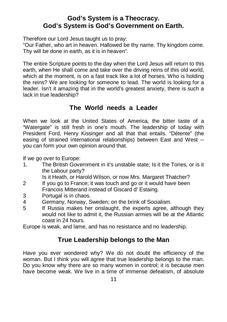#### **God's System is a Theocracy. God's System is God's Government on Earth.**

Therefore our Lord Jesus taught us to pray:

"Our Father, who art in heaven. Hallowed be thy name. Thy kingdom come. Thy will be done in earth, as it is in heaven".

The entire Scripture points to the day when the Lord Jesus will return to this earth, when He shall come and take over the driving reins of this old world, which at the moment, is on a fast track like a lot of horses. Who is holding the reins? We are looking for someone to lead. The world is looking for a leader. Isn't it amazing that in the world's greatest anxiety, there is such a lack in true leadership?

#### **The World needs a Leader**

When we look at the United States of America, the bitter taste of a "Watergate" is still fresh in one's mouth. The leadership of today with President Ford, Henry Kissinger and all that that entails. "Détente" (the easing of strained international relationships) between East and West - you can form your own opinion around that.

If we go over to Europe:

1. The British Government in it's unstable state; Is it the Tories, or is it the Labour party?

Is it Heath, or Harold Wilson, or now Mrs. Margaret Thatcher?

- 2 If you go to France; it was touch and go or it would have been Francois Mitterand instead of Giscard d' Estaing.
- 3 Portugal is in chaos.
- 4 Germany, Norway, Sweden; on the brink of Socialism.
- 5 If Russia makes her onslaught, the experts agree, although they would not like to admit it, the Russian armies will be at the Atlantic coast in 24 hours.

Europe is weak, and lame, and has no resistance and no leadership.

## **True Leadership belongs to the Man**

Have you ever wondered why? We do not doubt the efficiency of the woman. But I think you will agree that true leadership belongs to the man. Do you know why there are so many women in control; it is because men have become weak. We live in a time of immense defeatism, of absolute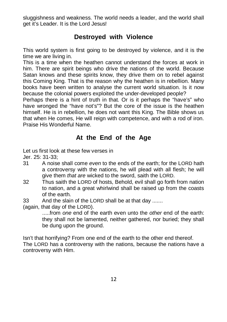sluggishness and weakness. The world needs a leader, and the world shall get it's Leader. It is the Lord Jesus!

#### **Destroyed with Violence**

This world system is first going to be destroyed by violence, and it is the time we are living in.

This is a time when the heathen cannot understand the forces at work in him. There are spirit beings who drive the nations of the world. Because Satan knows and these spirits know, they drive them on to rebel against this Coming King. That is the reason why the heathen is in rebellion. Many books have been written to analyse the current world situation. Is it now because the colonial powers exploited the under-developed people?

Perhaps there is a hint of truth in that. Or is it perhaps the "have's" who have wronged the "have not's"? But the core of the issue is the heathen himself. He is in rebellion, he does not want this King. The Bible shows us that when He comes, He will reign with competence, and with a rod of iron. Praise His Wonderful Name.

#### **At the End of the Age**

Let us first look at these few verses in

Jer. 25: 31-33;

- 31 A noise shall come *even* to the ends of the earth; for the LORD hath a controversy with the nations, he will plead with all flesh; he will give them *that are* wicked to the sword, saith the LORD.
- 32 Thus saith the LORD of hosts, Behold, evil shall go forth from nation to nation, and a great whirlwind shall be raised up from the coasts of the earth.
- 33 And the slain of the LORD shall be at that day .......

(again, that day of the LORD).

.....from *one* end of the earth even unto the *other* end of the earth: they shall not be lamented, neither gathered, nor buried; they shall be dung upon the ground.

Isn't that horrifying? From one end of the earth to the other end thereof. The LORD has a controversy with the nations, because the nations have a controversy with Him.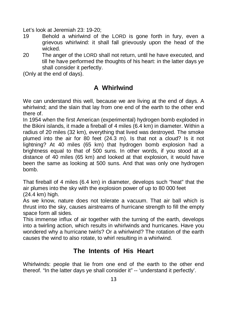Let's look at Jeremiah 23: 19-20;

- 19 Behold a whirlwind of the LORD is gone forth in fury, even a grievous whirlwind: it shall fall grievously upon the head of the wicked.
- 20 The anger of the LORD shall not return, until he have executed, and till he have performed the thoughts of his heart: in the latter days ye shall consider it perfectly.

(Only at the end of days).

## **A Whirlwind**

We can understand this well, because we are living at the end of days. A whirlwind; and the slain that lay from one end of the earth to the other end there of.

In 1954 when the first American (experimental) hydrogen bomb exploded in the Bikini islands, it made a fireball of 4 miles (6.4 km) in diameter. Within a radius of 20 miles (32 km), everything that lived was destroyed. The smoke plumed into the air for 80 feet (24.3 m). Is that not a cloud? Is it not lightning? At 40 miles (65 km) that hydrogen bomb explosion had a brightness equal to that of 500 suns. In other words, if you stood at a distance of 40 miles (65 km) and looked at that explosion, it would have been the same as looking at 500 suns. And that was only one hydrogen bomb.

That fireball of 4 miles (6.4 km) in diameter, develops such "heat" that the air plumes into the sky with the explosion power of up to 80 000 feet (24.4 km) high.

As we know, nature does not tolerate a vacuum. That air ball which is thrust into the sky, causes airstreams of hurricane strength to fill the empty space form all sides.

This immense influx of air together with the turning of the earth, develops into a twirling action, which results in whirlwinds and hurricanes. Have you wondered why a hurricane twirls? Or a whirlwind? The rotation of the earth causes the wind to also rotate, to whirl resulting in a whirlwind.

## **The Intents of His Heart**

Whirlwinds: people that lie from one end of the earth to the other end thereof. "In the latter days ye shall consider it" -- 'understand it perfectly'.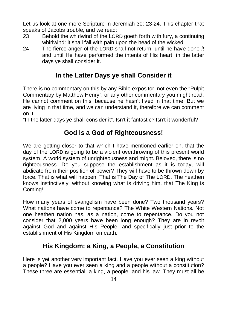Let us look at one more Scripture in Jeremiah 30: 23-24. This chapter that speaks of Jacobs trouble, and we read:

- 23 Behold the whirlwind of the LORD goeth forth with fury, a continuing whirlwind: it shall fall with pain upon the head of the wicked.
- 24 The fierce anger of the LORD shall not return, until he have done *it* and until He have performed the intents of His heart: in the latter days ye shall consider it.

#### **In the Latter Days ye shall Consider it**

There is no commentary on this by any Bible expositor, not even the "Pulpit Commentary by Matthew Henry", or any other commentary you might read. He cannot comment on this, because he hasn't lived in that time. But we are living in that time, and we can understand it, therefore we can comment on it.

"In the latter days ye shall consider it". Isn't it fantastic? Isn't it wonderful?

## **God is a God of Righteousness!**

We are getting closer to that which I have mentioned earlier on, that the day of the LORD is going to be a violent overthrowing of this present world system. A world system of unrighteousness and might. Beloved, there is no righteousness. Do you suppose the establishment as it is today, will abdicate from their position of power? They will have to be thrown down by force. That is what will happen. That is The Day of The LORD. The heathen knows instinctively, without knowing what is driving him, that The King is Coming!

How many years of evangelism have been done? Two thousand years? What nations have come to repentance? The White Western Nations. Not one heathen nation has, as a nation, come to repentance. Do you not consider that 2,000 years have been long enough? They are in revolt against God and against His People, and specifically just prior to the establishment of His Kingdom on earth.

#### **His Kingdom: a King, a People, a Constitution**

Here is yet another very important fact. Have you ever seen a king without a people? Have you ever seen a king and a people without a constitution? These three are essential; a king, a people, and his law. They must all be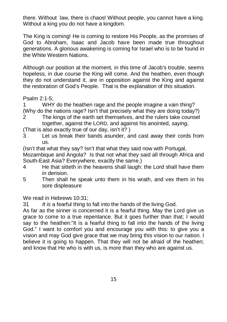there. Without law, there is chaos! Without people, you cannot have a king. Without a king you do not have a kingdom.

The King is coming! He is coming to restore His People, as the promises of God to Abraham, Isaac and Jacob have been made true throughout generations. A glorious awakening is coming for Israel who is to be found in the White Western Nations.

Although our position at the moment, in this time of Jacob's trouble, seems hopeless, in due course the King will come. And the heathen, even though they do not understand it, are in opposition against the King and against the restoration of God's People. That is the explanation of this situation.

Psalm 2:1-5;

1 WHY do the heathen rage and the people imagine a vain thing? (Why do the nations rage? Isn't that precisely what they are doing today?)

- 2 The kings of the earth set themselves, and the rulers take counsel together, against the LORD, and against his anointed, *saying*,
- (That is also exactly true of our day, isn't it? )
- 3 Let us break their bands asunder, and cast away their cords from us.

(Isn't that what they say? Isn't that what they said now with Portugal,

Mozambique and Angola? Is that not what they said all through Africa and South-East Asia? Everywhere, exactly the same.)

- 4 He that sitteth in the heavens shall laugh: the Lord shall have them in derision.
- 5 Then shall he speak unto them in his wrath, and vex them in his sore displeasure

We read in Hebrews 10:31;

31 *It is* a fearful thing to fall into the hands of the living God.

As far as the sinner is concerned it is a fearful thing. May the Lord give us grace to come to a true repentance. But it goes further than that; I would say to the heathen:"It is a fearful thing to fall into the hands of the living God." I want to comfort you and encourage you with this: to give you a vision and may God give grace that we may bring this vision to our nation. I believe it is going to happen. That they will not be afraid of the heathen; and know that He who is with us, is more than they who are against us.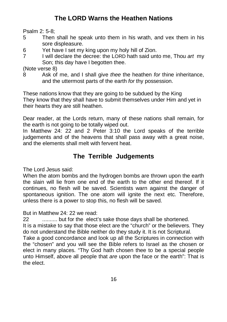# **The LORD Warns the Heathen Nations**

Psalm 2: 5-8;

- 5 Then shall he speak unto them in his wrath, and vex them in his sore displeasure.
- 6 Yet have I set my king upon my holy hill of Zion.
- 7 I will declare the decree: the LORD hath said unto me, Thou *art* my Son; this day have I begotten thee.

(Note verse 8)

8 Ask of me, and I shall give *thee* the heathen *for* thine inheritance, and the uttermost parts of the earth *for* thy possession.

These nations know that they are going to be subdued by the King They know that they shall have to submit themselves under Him and yet in their hearts they are still heathen.

Dear reader, at the Lords return, many of these nations shall remain, for the earth is not going to be totally wiped out.

In Matthew 24: 22 and 2 Peter 3:10 the Lord speaks of the terrible judgements and of the heavens that shall pass away with a great noise, and the elements shall melt with fervent heat.

## **The Terrible Judgements**

The Lord Jesus said:

When the atom bombs and the hydrogen bombs are thrown upon the earth the slain will lie from one end of the earth to the other end thereof. If it continues, no flesh will be saved. Scientists warn against the danger of spontaneous ignition. The one atom will ignite the next etc. Therefore, unless there is a power to stop this, no flesh will be saved.

But in Matthew 24: 22 we read:

22 .......... but for the elect's sake those days shall be shortened.

It is a mistake to say that those elect are the "church" or the believers. They do not understand the Bible neither do they study it. It is not Scriptural.

Take a good concordance and look up all the Scriptures in connection with the "chosen" and you will see the Bible refers to Israel as the chosen or elect in many places. "Thy God hath chosen thee to be a special people unto Himself, above all people that *are* upon the face or the earth": That is the elect.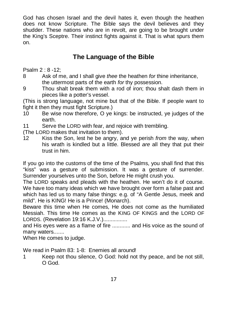God has chosen Israel and the devil hates it, even though the heathen does not know Scripture. The Bible says the devil believes and they shudder. These nations who are in revolt, are going to be brought under the King's Sceptre. Their instinct fights against it. That is what spurs them on.

## **The Language of the Bible**

Psalm 2 : 8 -12;

- 8 Ask of me, and I shall give *thee* the heathen *for* thine inheritance, the uttermost parts of the earth *for* thy possession.
- 9 Thou shalt break them with a rod of iron; thou shalt dash them in pieces like a potter's vessel.

(This is strong language, not mine but that of the Bible. If people want to fight it then they must fight Scripture.)

- 10 Be wise now therefore, O ye kings: be instructed, ye judges of the earth.
- 11 Serve the LORD with fear, and rejoice with trembling.
- (The LORD makes that invitation to them).
- 12 Kiss the Son, lest he be angry, and ye perish *from* the way, when his wrath is kindled but a little. Blessed *are* all they that put their trust in him.

If you go into the customs of the time of the Psalms, you shall find that this "kiss" was a gesture of submission. It was a gesture of surrender. Surrender yourselves unto the Son, before He might crush you.

The LORD speaks and pleads with the heathen. He won't do it of course. We have too many ideas which we have brought over form a false past and which has led us to many false things: e.g. of "A Gentle Jesus, meek and mild". He is KING! He is a Prince! (Monarch).

Beware this time when He comes, He does not come as the humiliated Messiah. This time He comes as the KING OF KINGS and the LORD OF LORDS. (Revelation 19:16 K.J.V.)................

and His eyes were as a flame of fire ............ and His voice as the sound of many waters.......

When He comes to judge.

We read in Psalm 83: 1-8: Enemies all around!

1 Keep not thou silence, O God: hold not thy peace, and be not still, O God.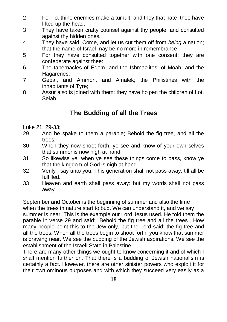- 2 For, lo, thine enemies make a tumult: and they that hate thee have lifted up the head.
- 3 They have taken crafty counsel against thy people, and consulted against thy hidden ones.
- 4 They have said, Come, and let us cut them off from *being* a nation; that the name of Israel may be no more in remembrance.
- 5 For they have consulted together with one consent: they are confederate against thee:
- 6 The tabernacles of Edom, and the Ishmaelites; of Moab, and the Hagarenes:
- 7 Gebal, and Ammon, and Amalek; the Philistines with the inhabitants of Tyre;
- 8 Assur also is joined with them: they have holpen the children of Lot. Selah.

# **The Budding of all the Trees**

Luke 21: 29-33;

- 29 And he spake to them a parable; Behold the fig tree, and all the trees;
- 30 When they now shoot forth, ye see and know of your own selves that summer is now nigh at hand.
- 31 So likewise ye, when ye see these things come to pass, know ye that the kingdom of God is nigh at hand.
- 32 Verily I say unto you, This generation shall not pass away, till all be fulfilled.
- 33 Heaven and earth shall pass away: but my words shall not pass away.

September and October is the beginning of summer and also the time when the trees in nature start to bud. We can understand it, and we say summer is near. This is the example our Lord Jesus used. He told them the parable in verse 29 and said: "Behold the fig tree and all the trees". How many people point this to the Jew only, but the Lord said: the fig tree and all the trees. When all the trees begin to shoot forth, you know that summer is drawing near. We see the budding of the Jewish aspirations. We see the establishment of the Israeli State in Palestine.

There are many other things we ought to know concerning it and of which I shall mention further on. That there is a budding of Jewish nationalism is certainly a fact. However, there are other sinister powers who exploit it for their own ominous purposes and with which they succeed very easily as a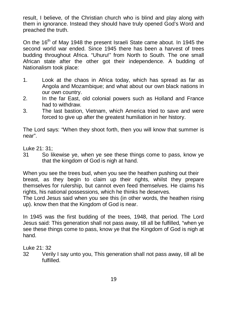result, I believe, of the Christian church who is blind and play along with them in ignorance. Instead they should have truly opened God's Word and preached the truth.

On the 16<sup>th</sup> of May 1948 the present Israeli State came about. In 1945 the second world war ended. Since 1945 there has been a harvest of trees budding throughout Africa. "Uhuru!" from North to South. The one small African state after the other got their independence. A budding of Nationalism took place:

- 1. Look at the chaos in Africa today, which has spread as far as Angola and Mozambique; and what about our own black nations in our own country.
- 2. In the far East, old colonial powers such as Holland and France had to withdraw.
- 3. The last bastion, Vietnam, which America tried to save and were forced to give up after the greatest humiliation in her history.

The Lord says: "When they shoot forth, then you will know that summer is near".

Luke 21: 31;

31 So likewise ye, when ye see these things come to pass, know ye that the kingdom of God is nigh at hand.

When you see the trees bud, when you see the heathen pushing out their breast, as they begin to claim up their rights, whilst they prepare themselves for rulership, but cannot even feed themselves. He claims his rights, his national possessions, which he thinks he deserves.

The Lord Jesus said when you see this (in other words, the heathen rising up). know then that the Kingdom of God is near.

In 1945 was the first budding of the trees, 1948, that period. The Lord Jesus said: This generation shall not pass away, till all be fulfilled, "when ye see these things come to pass, know ye that the Kingdom of God is nigh at hand.

Luke 21: 32

32 Verily I say unto you, This generation shall not pass away, till all be fulfilled.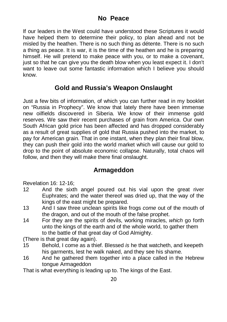If our leaders in the West could have understood these Scriptures it would have helped them to determine their policy, to plan ahead and not be misled by the heathen. There is no such thing as détente. There is no such a thing as peace. It is war, it is the time of the heathen and he is preparing himself. He will pretend to make peace with you, or to make a covenant, just so that he can give you the death blow when you least expect it. I don't want to leave out some fantastic information which I believe you should know.

#### **Gold and Russia's Weapon Onslaught**

Just a few bits of information, of which you can further read in my booklet on "Russia in Prophecy". We know that lately there have been immense new oilfields discovered in Siberia. We know of their immense gold reserves. We saw their recent purchases of grain from America. Our own South African gold price has been affected and has dropped considerably as a result of great supplies of gold that Russia pushed into the market, to pay for American grain. That in one instant, when they plan their final blow, they can push their gold into the world market which will cause our gold to drop to the point of absolute economic collapse. Naturally, total chaos will follow, and then they will make there final onslaught.

#### **Armageddon**

Revelation 16: 12-16;

- 12 And the sixth angel poured out his vial upon the great river Euphrates; and the water thereof was dried up, that the way of the kings of the east might be prepared.
- 13 And I saw three unclean spirits like frogs *come* out of the mouth of the dragon, and out of the mouth of the false prophet.
- 14 For they are the spirits of devils, working miracles, *which* go forth unto the kings of the earth and of the whole world, to gather them to the battle of that great day of God Almighty.

(There is that great day again).

- 15 Behold, I come as a thief. Blessed *is* he that watcheth, and keepeth his garments, lest he walk naked, and they see his shame.
- 16 And he gathered them together into a place called in the Hebrew tongue Armageddon

That is what everything is leading up to. The kings of the East.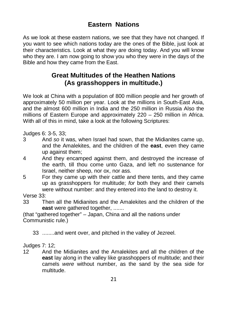#### **Eastern Nations**

As we look at these eastern nations, we see that they have not changed. If you want to see which nations today are the ones of the Bible, just look at their characteristics. Look at what they are doing today. And you will know who they are. I am now going to show you who they were in the days of the Bible and how they came from the East.

#### **Great Multitudes of the Heathen Nations (As grasshoppers in multitude.)**

We look at China with a population of 800 million people and her growth of approximately 50 million per year. Look at the millions in South-East Asia, and the almost 600 million in India and the 250 million in Russia Also the millions of Eastern Europe and approximately 220 – 250 million in Africa. With all of this in mind, take a look at the following Scriptures:

Judges 6: 3-5, 33;

- 3 And *so* it was, when Israel had sown, that the Midianites came up, and the Amalekites, and the children of the **east**, even they came up against them;
- 4 And they encamped against them, and destroyed the increase of the earth, till thou come unto Gaza, and left no sustenance for Israel, neither sheep, nor ox, nor ass.
- 5 For they came up with their cattle and there tents, and they came up as grasshoppers for multitude; *for* both they and their camels were without number: and they entered into the land to destroy it.

Verse 33:

33 Then all the Midianites and the Amalekites and the children of the **east** were gathered together, .......

(that "gathered together" – Japan, China and all the nations under Communistic rule.)

33 ........and went over, and pitched in the valley of Jezreel.

Judges 7: 12;

12 And the Midianites and the Amalekites and all the children of the **east** lay along in the valley like grasshoppers of multitude; and their camels *were* without number, as the sand by the sea side for multitude.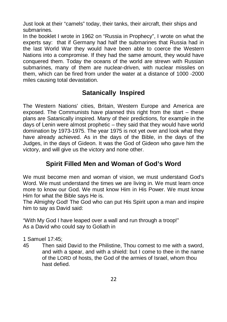Just look at their "camels" today, their tanks, their aircraft, their ships and submarines.

In the booklet I wrote in 1962 on "Russia in Prophecy", I wrote on what the experts say: that if Germany had half the submarines that Russia had in the last World War they would have been able to coerce the Western Nations into a compromise. If they had the same amount, they would have conquered them. Today the oceans of the world are strewn with Russian submarines, many of them are nuclear-driven, with nuclear missiles on them, which can be fired from under the water at a distance of 1000 -2000 miles causing total devastation.

# **Satanically Inspired**

The Western Nations' cities, Britain, Western Europe and America are exposed. The Communists have planned this right from the start – these plans are Satanically inspired. Many of their predictions, for example in the days of Lenin were almost prophetic – they said that they would have world domination by 1973-1975. The year 1975 is not yet over and look what they have already achieved. As in the days of the Bible, in the days of the Judges, in the days of Gideon. It was the God of Gideon who gave him the victory, and will give us the victory and none other.

### **Spirit Filled Men and Woman of God's Word**

We must become men and woman of vision, we must understand God's Word. We must understand the times we are living in. We must learn once more to know our God. We must know Him in His Power. We must know Him for what the Bible says He is.

The Almighty God! The God who can put His Spirit upon a man and inspire him to say as David said:

"With My God I have leaped over a wall and run through a troop!" As a David who could say to Goliath in

1 Samuel 17:45;

45 Then said David to the Philistine, Thou comest to me with a sword, and with a spear, and with a shield: but I come to thee in the name of the LORD of hosts, the God of the armies of Israel, whom thou hast defied.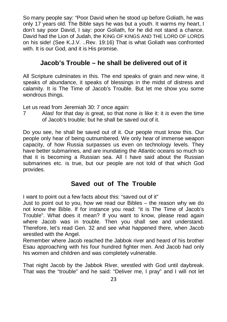So many people say: "Poor David when he stood up before Goliath, he was only 17 years old. The Bible says he was but a youth. It warms my heart, I don't say poor David, I say: poor Goliath, for he did not stand a chance. David had the Lion of Judah, the KING OF KINGS AND THE LORD OF LORDS on his side! (See K.J.V. ..Rev. 19:16) That is what Goliath was confronted with. It is our God, and it is His promise.

#### **Jacob's Trouble – he shall be delivered out of it**

All Scripture culminates in this. The end speaks of grain and new wine, it speaks of abundance, it speaks of blessings in the midst of distress and calamity. It is The Time of Jacob's Trouble. But let me show you some wondrous things.

Let us read from Jeremiah 30: 7 once again:

7 Alas! for that day *is* great, so that none *is* like it: it *is* even the time of Jacob's trouble; but he shall be saved out of it.

Do you see, he shall be saved out of it. Our people must know this. Our people only hear of being outnumbered. We only hear of immense weapon capacity, of how Russia surpasses us even on technology levels. They have better submarines, and are inundating the Atlantic oceans so much so that it is becoming a Russian sea. All I have said about the Russian submarines etc. is true, but our people are not told of that which God provides.

#### **Saved out of The Trouble**

I want to point out a few facts about this: "saved out of it"

Just to point out to you, how we read our Bibles – the reason why we do not know the Bible. If for instance you read: "it is The Time of Jacob's Trouble". What does it mean? If you want to know, please read again where Jacob was in trouble. Then you shall see and understand. Therefore, let's read Gen. 32 and see what happened there, when Jacob wrestled with the Angel.

Remember where Jacob reached the Jabbok river and heard of his brother Esau approaching with his four hundred fighter men. And Jacob had only his women and children and was completely vulnerable.

That night Jacob by the Jabbok River, wrestled with God until daybreak. That was the "trouble" and he said: "Deliver me, I pray" and I will not let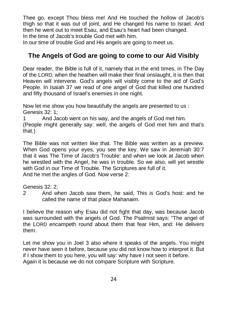Thee go, except Thou bless me! And He touched the hollow of Jacob's thigh so that it was out of joint, and He changed his name to Israel. And then he went out to meet Esau, and Esau's heart had been changed. In the time of Jacob's trouble God met with him.

In our time of trouble God and His angels are going to meet us.

#### **The Angels of God are going to come to our Aid Visibly**

Dear reader, the Bible is full of it, namely that in the end times, in The Day of the LORD, when the heathen will make their final onslaught, it is then that Heaven will intervene. God's angels will visibly come to the aid of God's People. In Isaiah 37 we read of one angel of God that killed one hundred and fifty thousand of Israel's enemies in one night.

Now let me show you how beautifully the angels are presented to us : Genesis 32: 1;

1 And Jacob went on his way, and the angels of God met him. (People might generally say: well, the angels of God met him and that's that.)

The Bible was not written like that. The Bible was written as a preview. When God opens your eyes, you see the key. We saw in Jeremiah 30:7 that it was The Time of Jacob's Trouble: and when we look at Jacob when he wrestled with the Angel, he was in trouble. So we also, will yet wrestle with God in our Time of Trouble. The Scriptures are full of it. And he met the angles of God. Now verse 2:

Genesis 32: 2;

2 And when Jacob saw them, he said, This *is* God's host: and he called the name of that place Mahanaim.

I believe the reason why Esau did not fight that day, was because Jacob was surrounded with the angels of God. The Psalmist says: "The angel of the LORD encampeth round about them that fear Him, and: He delivers them.

Let me show you in Joel 3 also where it speaks of the angels. You might never have seen it before, because you did not know how to interpret it. But if I show them to you here, you will say: why have I not seen it before. Again it is because we do not compare Scripture with Scripture.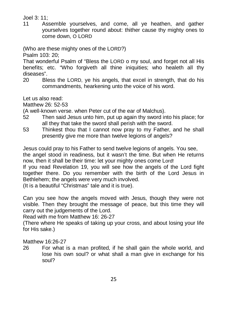#### Joel 3: 11;

11 Assemble yourselves, and come, all ye heathen, and gather yourselves together round about: thither cause thy mighty ones to come down, O LORD

(Who are these mighty ones of the LORD?)

Psalm 103: 20;

That wonderful Psalm of "Bless the LORD o my soul, and forget not all His benefits; etc. "Who forgiveth all thine iniquities; who healeth all thy diseases".

20 Bless the LORD, ye his angels, that excel in strength, that do his commandments, hearkening unto the voice of his word.

Let us also read:

Matthew 26: 52-53

(A well-known verse. when Peter cut of the ear of Malchus).

- 52 Then said Jesus unto him, put up again thy sword into his place; for all they that take the sword shall perish with the sword.
- 53 Thinkest thou that I cannot now pray to my Father, and he shall presently give me more than twelve legions of angels?

Jesus could pray to his Father to send twelve legions of angels. You see, the angel stood in readiness, but it wasn't the time. But when He returns now, then it shall be their time: let your mighty ones come Lord!

If you read Revelation 19, you will see how the angels of the Lord fight together there. Do you remember with the birth of the Lord Jesus in Bethlehem; the angels were very much involved.

(It is a beautiful "Christmas" tale and it is true).

Can you see how the angels moved with Jesus, though they were not visible. Then they brought the message of peace, but this time they will carry out the judgements of the Lord.

Read with me from Matthew 16: 26-27

(There where He speaks of taking up your cross, and about losing your life for His sake.)

Matthew 16:26-27

26 For what is a man profited, if he shall gain the whole world, and lose his own soul? or what shall a man give in exchange for his soul?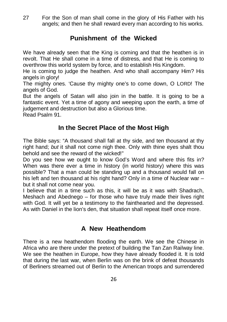27 For the Son of man shall come in the glory of His Father with his angels; and then he shall reward every man according to his works.

#### **Punishment of the Wicked**

We have already seen that the King is coming and that the heathen is in revolt. That He shall come in a time of distress, and that He is coming to overthrow this world system by force, and to establish His Kingdom.

He is coming to judge the heathen. And who shall accompany Him? His angels in glory!

The mighty ones. 'Cause thy mighty one's to come down, O LORD! The angels of God.

But the angels of Satan will also join in the battle. It is going to be a fantastic event. Yet a time of agony and weeping upon the earth, a time of judgement and destruction but also a Glorious time.

Read Psalm 91.

#### **In the Secret Place of the Most High**

The Bible says: "A thousand shall fall at thy side, and ten thousand at thy right hand; *but* it shall not come nigh thee. Only with thine eyes shalt thou behold and see the reward of the wicked!"

Do you see how we ought to know God's Word and where this fits in? When was there ever a time in history (in world history) where this was possible? That a man could be standing up and a thousand would fall on his left and ten thousand at his right hand? Only in a time of Nuclear war – but it shall not come near you.

I believe that in a time such as this, it will be as it was with Shadrach, Meshach and Abednego – for those who have truly made their lives right with God. It will yet be a testimony to the fainthearted and the depressed. As with Daniel in the lion's den, that situation shall repeat itself once more.

#### **A New Heathendom**

There is a new heathendom flooding the earth. We see the Chinese in Africa who are there under the pretext of building the Tan Zan Railway line. We see the heathen in Europe, how they have already flooded it. It is told that during the last war, when Berlin was on the brink of defeat thousands of Berliners streamed out of Berlin to the American troops and surrendered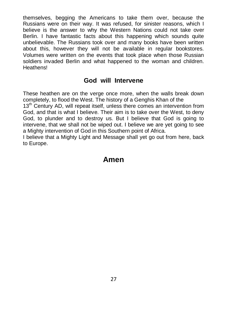themselves, begging the Americans to take them over, because the Russians were on their way. It was refused, for sinister reasons, which I believe is the answer to why the Western Nations could not take over Berlin. I have fantastic facts about this happening which sounds quite unbelievable. The Russians took over and many books have been written about this, however they will not be available in regular bookstores. Volumes were written on the events that took place when those Russian soldiers invaded Berlin and what happened to the woman and children. **Heathens!** 

#### **God will Intervene**

These heathen are on the verge once more, when the walls break down completely, to flood the West. The history of a Genghis Khan of the

13<sup>th</sup> Century AD, will repeat itself, unless there comes an intervention from God, and that is what I believe. Their aim is to take over the West, to deny God, to plunder and to destroy us. But I believe that God is going to intervene, that we shall not be wiped out. I believe we are yet going to see a Mighty intervention of God in this Southern point of Africa.

I believe that a Mighty Light and Message shall yet go out from here, back to Europe.

# **Amen**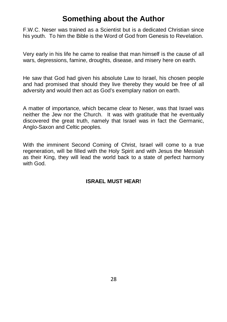# **Something about the Author**

F.W.C. Neser was trained as a Scientist but is a dedicated Christian since his youth. To him the Bible is the Word of God from Genesis to Revelation.

Very early in his life he came to realise that man himself is the cause of all wars, depressions, famine, droughts, disease, and misery here on earth.

He saw that God had given his absolute Law to Israel, his chosen people and had promised that should they live thereby they would be free of all adversity and would then act as God's exemplary nation on earth.

A matter of importance, which became clear to Neser, was that Israel was neither the Jew nor the Church. It was with gratitude that he eventually discovered the great truth, namely that Israel was in fact the Germanic, Anglo-Saxon and Celtic peoples.

With the imminent Second Coming of Christ, Israel will come to a true regeneration, will be filled with the Holy Spirit and with Jesus the Messiah as their King, they will lead the world back to a state of perfect harmony with God.

#### **ISRAEL MUST HEAR!**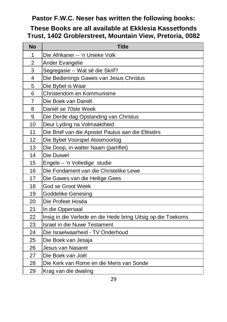#### **Pastor F.W.C. Neser has written the following books:**

#### **These Books are all available at Ekklesia Kassetfonds Trust, 1402 Groblerstreet, Mountain View, Pretoria, 0082**

| No             | <b>Title</b>                                                 |
|----------------|--------------------------------------------------------------|
| 1              | Die Afrikaner -- 'n Unieke Volk                              |
| $\overline{2}$ | Ander Evangelie                                              |
| 3              | Segregasie -- Wat sê die Skrif?                              |
| 4              | Die Bedienings Gawes van Jesus Christus                      |
| 5              | Die Bybel is Waar                                            |
| 6              | Christendom en Kommunisme                                    |
| $\overline{7}$ | Die Boek van Daniël                                          |
| 8              | Daniël se 70ste Week                                         |
| 9              | Die Derde dag Opstanding van Christus                        |
| 10             | Deur Lyding na Volmaaktheid                                  |
| 11             | Die Brief van die Apostel Paulus aan die Efésiërs            |
| 12             | Die Bybel Voorspel Atoomoorlog                               |
| 13             | Die Doop, in watter Naam (pamflet)                           |
| 14             | Die Duiwel                                                   |
| 15             | Engele - 'n Volledige studie                                 |
| 16             | Die Fondament van die Christelike Lewe                       |
| 17             | Die Gawes van die Heilige Gees                               |
| 18             | God se Groot Week                                            |
| 19             | Goddelike Genesing                                           |
| 20             | Die Profeet Hoséa                                            |
| 21             | In die Oppersaal                                             |
| 22             | Insig in die Verlede en die Hede bring Uitsig op die Toekoms |
| 23             | Israel in die Nuwe Testament                                 |
| 24             | Die Israelwaarheid - TV Onderhoud                            |
| 25             | Die Boek van Jesaja                                          |
| 26             | Jesus van Nasaret                                            |
| 27             | Die Boek van Joël                                            |
| 28             | Die Kerk van Rome en die Mens van Sonde                      |
| 29             | Krag van die dwaling                                         |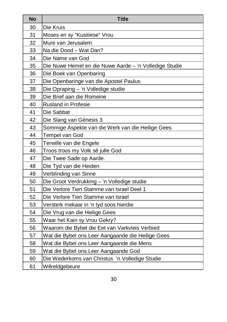| <b>No</b> | <b>Title</b>                                           |
|-----------|--------------------------------------------------------|
| 30        | Die Kruis                                              |
| 31        | Moses en sy "Kusitiese" Vrou                           |
| 32        | Mure van Jerusalem                                     |
| 33        | Na die Dood - Wat Dan?                                 |
| 34        | Die Name van God                                       |
| 35        | Die Nuwe Hemel en die Nuwe Aarde - 'n Volledige Studie |
| 36        | Die Boek van Openbaring                                |
| 37        | Die Openbaringe van die Apostel Paulus                 |
| 38        | Die Opraping - 'n Volledige studie                     |
| 39        | Die Brief aan die Romeine                              |
| 40        | <b>Rusland in Profesie</b>                             |
| 41        | Die Sabbat                                             |
| 42        | Die Slang van Génesis 3                                |
| 43        | Sommige Aspekte van die Werk van die Heilige Gees      |
| 44        | Tempel van God                                         |
| 45        | Terwille van die Engele                                |
| 46        | Troos troos my Volk sê julle God                       |
| 47        | Die Twee Sade op Aarde.                                |
| 48        | Die Tyd van die Heiden                                 |
| 49        | Verblinding van Sinne                                  |
| 50        | Die Groot Verdrukking - 'n Volledige studie            |
| 51        | Die Verlore Tien Stamme van Israel Deel 1              |
| 52        | Die Verlore Tien Stamme van Israel                     |
| 53        | Versterk mekaar in 'n tyd soos hierdie                 |
| 54        | Die Vrug van die Heilige Gees                          |
| 55        | Waar het Kain sy Vrou Gekry?                           |
| 56        | Waarom die Bybel die Eet van Varkvleis Verbied         |
| 57        | Wat die Bybel ons Leer Aangaande die Heilige Gees      |
| 58        | Wat die Bybel ons Leer Aangaande die Mens              |
| 59        | Wat die Bybel ons Leer Aangaande God                   |
| 60        | Die Wederkoms van Christus 'n Volledige Studie         |
| 61        | Wêreldgebeure                                          |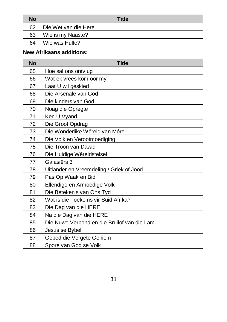| No | <b>Title</b>          |
|----|-----------------------|
| 62 | IDie Wet van die Here |
| 63 | Wie is my Naaste?     |
| 64 | Wie was Hulle?        |

#### **New Afrikaans additions:**

| No | <b>Title</b>                                |
|----|---------------------------------------------|
| 65 | Hoe sal ons ontvlug                         |
| 66 | Wat ek vrees kom oor my                     |
| 67 | Laat U wil geskied                          |
| 68 | Die Arsenale van God                        |
| 69 | Die kinders van God                         |
| 70 | Noag die Opregte                            |
| 71 | Ken U Vyand                                 |
| 72 | Die Groot Opdrag                            |
| 73 | Die Wonderlike Wêreld van Môre              |
| 74 | Die Volk en Verootmoediging                 |
| 75 | Die Troon van Dawid                         |
| 76 | Die Huidige Wêreldstelsel                   |
| 77 | Galásiërs 3                                 |
| 78 | Uitlander en Vreemdeling / Griek of Jood    |
| 79 | Pas Op Waak en Bid                          |
| 80 | Ellendige en Armoedige Volk                 |
| 81 | Die Betekenis van Ons Tyd                   |
| 82 | Wat is die Toekoms vir Suid Afrika?         |
| 83 | Die Dag van die HERE                        |
| 84 | Na die Dag van die HERE                     |
| 85 | Die Nuwe Verbond en die Bruilof van die Lam |
| 86 | Jesus se Bybel                              |
| 87 | Gebed die Vergete Gehiem                    |
| 88 | Spore van God se Volk                       |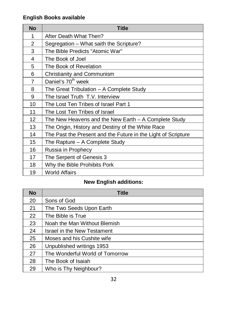#### **English Books available**

| <b>No</b>      | <b>Title</b>                                                  |
|----------------|---------------------------------------------------------------|
| 1              | After Death What Then?                                        |
| 2              | Segregation – What saith the Scripture?                       |
| 3              | The Bible Predicts "Atomic War"                               |
| 4              | The Book of Joel                                              |
| 5              | The Book of Revelation                                        |
| 6              | Christianity and Communism                                    |
| $\overline{7}$ | Daniel's 70 <sup>th</sup> week                                |
| 8              | The Great Tribulation - A Complete Study                      |
| 9              | The Israel Truth T.V. Interview                               |
| 10             | The Lost Ten Tribes of Israel Part 1                          |
| 11             | The Lost Ten Tribes of Israel                                 |
| 12             | The New Heavens and the New Earth $-$ A Complete Study        |
| 13             | The Origin, History and Destiny of the White Race             |
| 14             | The Past the Present and the Future in the Light of Scripture |
| 15             | The Rapture - A Complete Study                                |
| 16             | Russia in Prophecy                                            |
| 17             | The Serpent of Genesis 3                                      |
| 18             | Why the Bible Prohibits Pork                                  |
| 19             | World Affairs                                                 |

#### **New English additions:**

| No | <b>Title</b>                    |
|----|---------------------------------|
| 20 | Sons of God                     |
| 21 | The Two Seeds Upon Earth        |
| 22 | The Bible is True               |
| 23 | Noah the Man Without Blemish    |
| 24 | Israel in the New Testament     |
| 25 | Moses and his Cushite wife      |
| 26 | Unpublished writings 1953       |
| 27 | The Wonderful World of Tomorrow |
| 28 | The Book of Isaiah              |
| 29 | Who is Thy Neighbour?           |